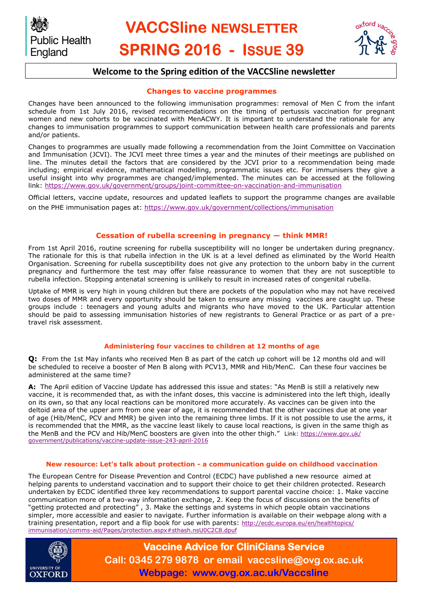

# **VACCSline NEWSLETTER SPRING 2016 - ISSUE 39**



### **Welcome to the Spring edition of the VACCSline newsletter**

#### **Changes to vaccine programmes**

Changes have been announced to the following immunisation programmes: removal of Men C from the infant schedule from 1st July 2016, revised recommendations on the timing of pertussis vaccination for pregnant women and new cohorts to be vaccinated with MenACWY. It is important to understand the rationale for any changes to immunisation programmes to support communication between health care professionals and parents and/or patients.

Changes to programmes are usually made following a recommendation from the Joint Committee on Vaccination and Immunisation (JCVI). The JCVI meet three times a year and the minutes of their meetings are published on line. The minutes detail the factors that are considered by the JCVI prior to a recommendation being made including; empirical evidence, mathematical modelling, programmatic issues etc. For immunisers they give a useful insight into why programmes are changed/implemented. The minutes can be accessed at the following link:<https://www.gov.uk/government/groups/joint-committee-on-vaccination-and-immunisation>

Official letters, vaccine update, resources and updated leaflets to support the programme changes are available on the PHE immunisation pages at:<https://www.gov.uk/government/collections/immunisation>

#### **Cessation of rubella screening in pregnancy — think MMR!**

From 1st April 2016, routine screening for rubella susceptibility will no longer be undertaken during pregnancy. The rationale for this is that rubella infection in the UK is at a level defined as eliminated by the World Health Organisation. Screening for rubella susceptibility does not give any protection to the unborn baby in the current pregnancy and furthermore the test may offer false reassurance to women that they are not susceptible to rubella infection. Stopping antenatal screening is unlikely to result in increased rates of congenital rubella.

Uptake of MMR is very high in young children but there are pockets of the population who may not have received two doses of MMR and every opportunity should be taken to ensure any missing vaccines are caught up. These groups include : teenagers and young adults and migrants who have moved to the UK. Particular attention should be paid to assessing immunisation histories of new registrants to General Practice or as part of a pretravel risk assessment.

#### **Administering four vaccines to children at 12 months of age**

**Q:** From the 1st May infants who received Men B as part of the catch up cohort will be 12 months old and will be scheduled to receive a booster of Men B along with PCV13, MMR and Hib/MenC. Can these four vaccines be administered at the same time?

**A:** The April edition of Vaccine Update has addressed this issue and states: "As MenB is still a relatively new vaccine, it is recommended that, as with the infant doses, this vaccine is administered into the left thigh, ideally on its own, so that any local reactions can be monitored more accurately. As vaccines can be given into the deltoid area of the upper arm from one year of age, it is recommended that the other vaccines due at one year of age (Hib/MenC, PCV and MMR) be given into the remaining three limbs. If it is not possible to use the arms, it is recommended that the MMR, as the vaccine least likely to cause local reactions, is given in the same thigh as the MenB and the PCV and Hib/MenC boosters are given into the other thigh." Link: [https://www.gov.uk/](https://www.gov.uk/government/publications/vaccine-update-issue-243-april-2016C:/Users/sarah.lang/Documents/Bluetooth%20Exchange%20Folder) [government/publications/vaccine-update-issue-243-april-2016](https://www.gov.uk/government/publications/vaccine-update-issue-243-april-2016C:/Users/sarah.lang/Documents/Bluetooth%20Exchange%20Folder)

#### **New resource: Let's talk about protection - a communication guide on childhood vaccination**

The European Centre for Disease Prevention and Control (ECDC) have published a new resource aimed at helping parents to understand vaccination and to support their choice to get their children protected. Research undertaken by ECDC identified three key recommendations to support parental vaccine choice: 1. Make vaccine communication more of a two-way information exchange, 2. Keep the focus of discussions on the benefits of "getting protected and protecting" , 3. Make the settings and systems in which people obtain vaccinations simpler, more accessible and easier to navigate. Further information is available on their webpage along with a training presentation, report and a flip book for use with parents: [http://ecdc.europa.eu/en/healthtopics/](http://ecdc.europa.eu/en/healthtopics/immunisation/comms-aid/Pages/protection.aspx#sthash.nsU0C2C8.dpuf) [immunisation/comms-aid/Pages/protection.aspx#sthash.nsU0C2C8.dpuf](http://ecdc.europa.eu/en/healthtopics/immunisation/comms-aid/Pages/protection.aspx#sthash.nsU0C2C8.dpuf)



**Vaccine Advice for CliniCians Service Call: 0345 279 9878 or email vaccsline@ovg.ox.ac.uk Webpage: www.ovg.ox.ac.uk/Vaccsline**